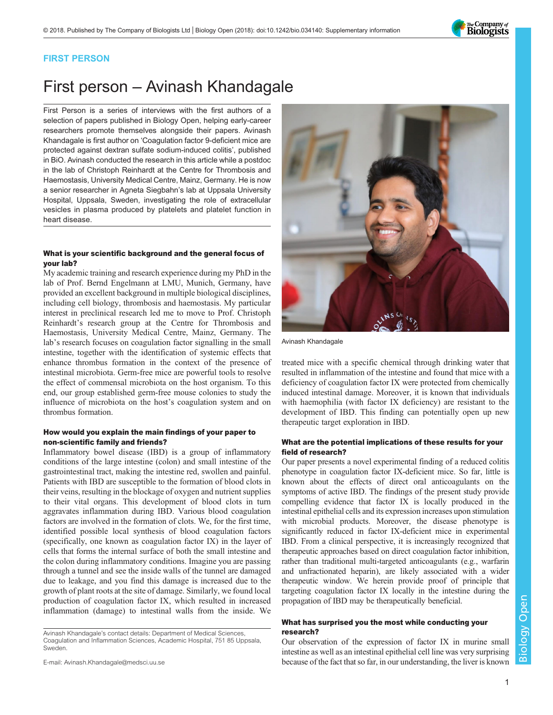

### FIRST PERSON

# First person – Avinash Khandagale

First Person is a series of interviews with the first authors of a selection of papers published in Biology Open, helping early-career researchers promote themselves alongside their papers. Avinash Khandagale is first author on '[Coagulation factor 9-deficient mice are](#page-1-0) [protected against dextran sulfate sodium-induced colitis](#page-1-0)', published in BiO. Avinash conducted the research in this article while a postdoc in the lab of Christoph Reinhardt at the Centre for Thrombosis and Haemostasis, University Medical Centre, Mainz, Germany. He is now a senior researcher in Agneta Siegbahn's lab at Uppsala University Hospital, Uppsala, Sweden, investigating the role of extracellular vesicles in plasma produced by platelets and platelet function in heart disease.

#### What is your scientific background and the general focus of your lab?

My academic training and research experience during my PhD in the lab of Prof. Bernd Engelmann at LMU, Munich, Germany, have provided an excellent background in multiple biological disciplines, including cell biology, thrombosis and haemostasis. My particular interest in preclinical research led me to move to Prof. Christoph Reinhardt's research group at the Centre for Thrombosis and Haemostasis, University Medical Centre, Mainz, Germany. The lab's research focuses on coagulation factor signalling in the small intestine, together with the identification of systemic effects that enhance thrombus formation in the context of the presence of intestinal microbiota. Germ-free mice are powerful tools to resolve the effect of commensal microbiota on the host organism. To this end, our group established germ-free mouse colonies to study the influence of microbiota on the host's coagulation system and on thrombus formation.

#### How would you explain the main findings of your paper to non-scientific family and friends?

Inflammatory bowel disease (IBD) is a group of inflammatory conditions of the large intestine (colon) and small intestine of the gastrointestinal tract, making the intestine red, swollen and painful. Patients with IBD are susceptible to the formation of blood clots in their veins, resulting in the blockage of oxygen and nutrient supplies to their vital organs. This development of blood clots in turn aggravates inflammation during IBD. Various blood coagulation factors are involved in the formation of clots. We, for the first time, identified possible local synthesis of blood coagulation factors (specifically, one known as coagulation factor IX) in the layer of cells that forms the internal surface of both the small intestine and the colon during inflammatory conditions. Imagine you are passing through a tunnel and see the inside walls of the tunnel are damaged due to leakage, and you find this damage is increased due to the growth of plant roots at the site of damage. Similarly, we found local production of coagulation factor IX, which resulted in increased inflammation (damage) to intestinal walls from the inside. We

E-mail: [Avinash.Khandagale@medsci.uu.se](mailto:Avinash.Khandagale@medsci.uu.se)



Avinash Khandagale

treated mice with a specific chemical through drinking water that resulted in inflammation of the intestine and found that mice with a deficiency of coagulation factor IX were protected from chemically induced intestinal damage. Moreover, it is known that individuals with haemophilia (with factor IX deficiency) are resistant to the development of IBD. This finding can potentially open up new therapeutic target exploration in IBD.

#### What are the potential implications of these results for your field of research?

Our paper presents a novel experimental finding of a reduced colitis phenotype in coagulation factor IX-deficient mice. So far, little is known about the effects of direct oral anticoagulants on the symptoms of active IBD. The findings of the present study provide compelling evidence that factor IX is locally produced in the intestinal epithelial cells and its expression increases upon stimulation with microbial products. Moreover, the disease phenotype is significantly reduced in factor IX-deficient mice in experimental IBD. From a clinical perspective, it is increasingly recognized that therapeutic approaches based on direct coagulation factor inhibition, rather than traditional multi-targeted anticoagulants (e.g., warfarin and unfractionated heparin), are likely associated with a wider therapeutic window. We herein provide proof of principle that targeting coagulation factor IX locally in the intestine during the propagation of IBD may be therapeutically beneficial.

#### What has surprised you the most while conducting your research?

Our observation of the expression of factor IX in murine small intestine as well as an intestinal epithelial cell line was very surprising because of the fact that so far, in our understanding, the liver is known

Avinash Khandagale's contact details: Department of Medical Sciences, Coagulation and Inflammation Sciences, Academic Hospital, 751 85 Uppsala, Sweden.